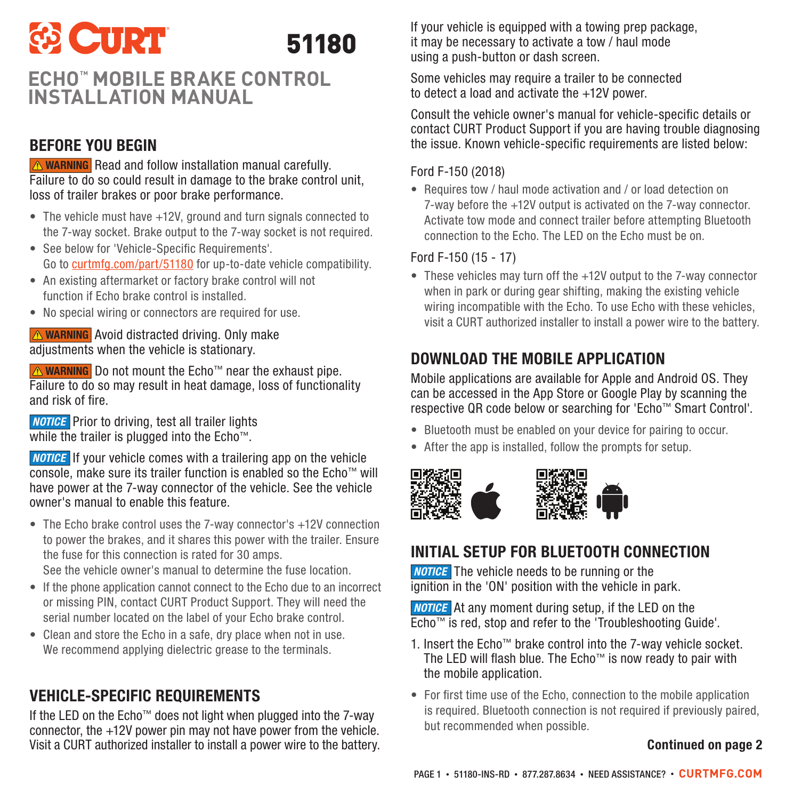# **ED CURT** 51180

# **ECHO™ MOBILE BRAKE CONTROL INSTALLATION MANUAL**

### BEFORE YOU BEGIN

**WARNING** Read and follow installation manual carefully. Failure to do so could result in damage to the brake control unit, loss of trailer brakes or poor brake performance.

- The vehicle must have +12V, ground and turn signals connected to the 7-way socket. Brake output to the 7-way socket is not required.
- See below for 'Vehicle-Specific Requirements'. Go to curtmfg.com/part/51180 for up-to-date vehicle compatibility.
- An existing aftermarket or factory brake control will not function if Echo brake control is installed.
- No special wiring or connectors are required for use.

AvaRNING Avoid distracted driving. Only make adjustments when the vehicle is stationary.

A WARNING Do not mount the Echo™ near the exhaust pipe. Failure to do so may result in heat damage, loss of functionality and risk of fire.

**NOTICE** Prior to driving, test all trailer lights while the trailer is plugged into the Echo™.

**NOTICE** If your vehicle comes with a trailering app on the vehicle console, make sure its trailer function is enabled so the Echo™ will have power at the 7-way connector of the vehicle. See the vehicle owner's manual to enable this feature.

- The Echo brake control uses the 7-way connector's +12V connection to power the brakes, and it shares this power with the trailer. Ensure the fuse for this connection is rated for 30 amps.
- See the vehicle owner's manual to determine the fuse location.
- If the phone application cannot connect to the Echo due to an incorrect or missing PIN, contact CURT Product Support. They will need the serial number located on the label of your Echo brake control.
- Clean and store the Echo in a safe, dry place when not in use. We recommend applying dielectric grease to the terminals.

# VEHICLE-SPECIFIC REQUIREMENTS

If the LED on the Echo™ does not light when plugged into the 7-way connector, the +12V power pin may not have power from the vehicle. Visit a CURT authorized installer to install a power wire to the battery. If your vehicle is equipped with a towing prep package, it may be necessary to activate a tow / haul mode using a push-button or dash screen.

Some vehicles may require a trailer to be connected to detect a load and activate the +12V power.

Consult the vehicle owner's manual for vehicle-specific details or contact CURT Product Support if you are having trouble diagnosing the issue. Known vehicle-specific requirements are listed below:

#### Ford F-150 (2018)

• Requires tow / haul mode activation and / or load detection on 7-way before the +12V output is activated on the 7-way connector. Activate tow mode and connect trailer before attempting Bluetooth connection to the Echo. The LED on the Echo must be on.

### Ford F-150 (15 - 17)

• These vehicles may turn off the +12V output to the 7-way connector when in park or during gear shifting, making the existing vehicle wiring incompatible with the Echo. To use Echo with these vehicles, visit a CURT authorized installer to install a power wire to the battery.

# DOWNLOAD THE MOBILE APPLICATION

Mobile applications are available for Apple and Android OS. They can be accessed in the App Store or Google Play by scanning the respective QR code below or searching for 'Echo™ Smart Control'.

- Bluetooth must be enabled on your device for pairing to occur.
- After the app is installed, follow the prompts for setup.



# INITIAL SETUP FOR BLUETOOTH CONNECTION

**NOTICE** The vehicle needs to be running or the ignition in the 'ON' position with the vehicle in park.

**NOTICE** At any moment during setup, if the LED on the Echo™ is red, stop and refer to the 'Troubleshooting Guide'.

- 1. Insert the Echo™ brake control into the 7-way vehicle socket. The LED will flash blue. The Echo™ is now ready to pair with the mobile application.
- For first time use of the Echo, connection to the mobile application is required. Bluetooth connection is not required if previously paired. but recommended when possible.

### Continued on page 2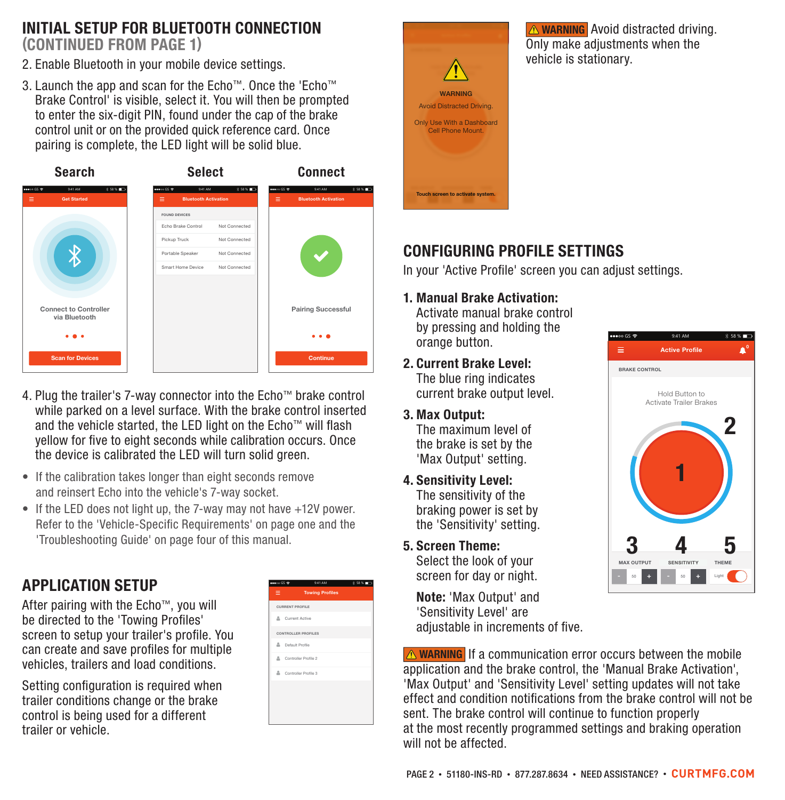### INITIAL SETUP FOR BLUETOOTH CONNECTION (CONTINUED FROM PAGE 1)

- 2. Enable Bluetooth in your mobile device settings.
- 3. Launch the app and scan for the Echo™. Once the 'Echo™ Brake Control' is visible, select it. You will then be prompted to enter the six-digit PIN, found under the cap of the brake control unit or on the provided quick reference card. Once pairing is complete, the LED light will be solid blue.



- 4. Plug the trailer's 7-way connector into the Echo™ brake control while parked on a level surface. With the brake control inserted and the vehicle started, the LED light on the Echo™ will flash yellow for five to eight seconds while calibration occurs. Once the device is calibrated the LED will turn solid green.
- If the calibration takes longer than eight seconds remove and reinsert Echo into the vehicle's 7-way socket.
- If the LED does not light up, the 7-way may not have +12V power. Refer to the 'Vehicle-Specific Requirements' on page one and the 'Troubleshooting Guide' on page four of this manual.

# APPLICATION SETUP

After pairing with the Echo™, you will be directed to the 'Towing Profiles' screen to setup your trailer's profile. You can create and save profiles for multiple vehicles, trailers and load conditions.

Setting configuration is required when trailer conditions change or the brake control is being used for a different trailer or vehicle.

| $m \log \Psi$          | 9:41 AM                | 3 St N. 100 |
|------------------------|------------------------|-------------|
| $\equiv$               | <b>Towing Profiles</b> |             |
| <b>CURRENT PROFILE</b> |                        |             |
| & Current Active       |                        |             |
| CONTROLLER PROFILES    |                        |             |
| & Default Profile      |                        |             |
| & Controller Profile 2 |                        |             |
| & Controller Profile 3 |                        |             |
|                        |                        |             |
|                        |                        |             |
|                        |                        |             |



**A WARNING** Avoid distracted driving. Only make adjustments when the vehicle is stationary.

### CONFIGURING PROFILE SETTINGS

In your 'Active Profile' screen you can adjust settings.

1. Manual Brake Activation:

Activate manual brake control by pressing and holding the orange button.

- 2. Current Brake Level: The blue ring indicates current brake output level.
- 3. Max Output: The maximum level of the brake is set by the 'Max Output' setting.
- 4. Sensitivity Level: The sensitivity of the braking power is set by the 'Sensitivity' setting.
- 5. Screen Theme:

Select the look of your screen for day or night.

Note: 'Max Output' and 'Sensitivity Level' are adjustable in increments of five.

**WARNING** If a communication error occurs between the mobile application and the brake control, the 'Manual Brake Activation', 'Max Output' and 'Sensitivity Level' setting updates will not take effect and condition notifications from the brake control will not be sent. The brake control will continue to function properly at the most recently programmed settings and braking operation will not be affected.

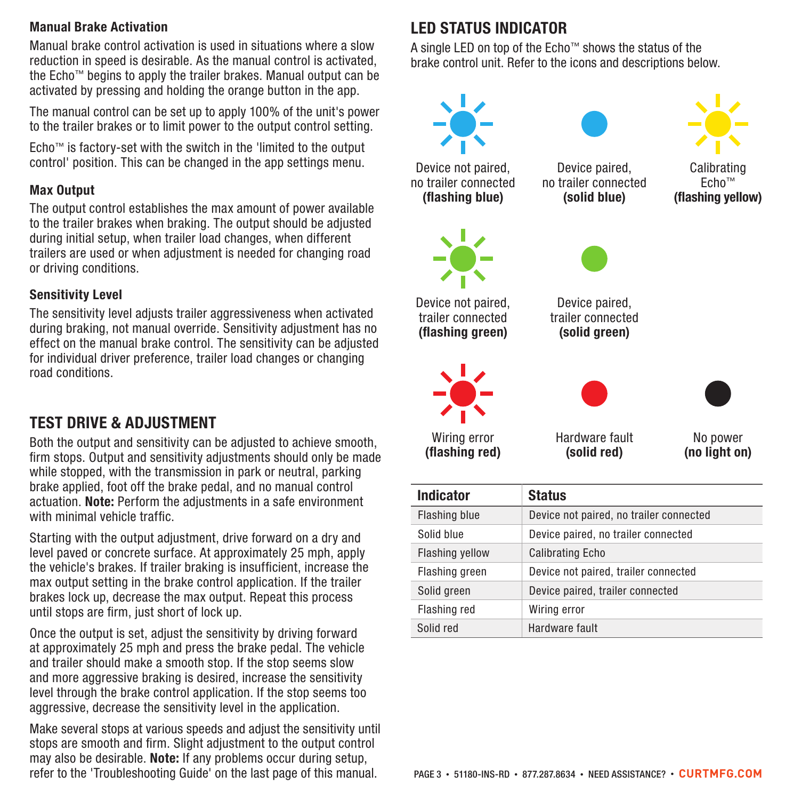#### Manual Brake Activation

Manual brake control activation is used in situations where a slow reduction in speed is desirable. As the manual control is activated, the Echo™ begins to apply the trailer brakes. Manual output can be activated by pressing and holding the orange button in the app.

The manual control can be set up to apply 100% of the unit's power to the trailer brakes or to limit power to the output control setting.

Echo™ is factory-set with the switch in the 'limited to the output control' position. This can be changed in the app settings menu.

#### Max Output

The output control establishes the max amount of power available to the trailer brakes when braking. The output should be adjusted during initial setup, when trailer load changes, when different trailers are used or when adjustment is needed for changing road or driving conditions.

#### Sensitivity Level

The sensitivity level adjusts trailer aggressiveness when activated during braking, not manual override. Sensitivity adjustment has no effect on the manual brake control. The sensitivity can be adjusted for individual driver preference, trailer load changes or changing road conditions.

### TEST DRIVE & ADJUSTMENT

Both the output and sensitivity can be adjusted to achieve smooth, firm stops. Output and sensitivity adjustments should only be made while stopped, with the transmission in park or neutral, parking brake applied, foot off the brake pedal, and no manual control actuation. Note: Perform the adjustments in a safe environment with minimal vehicle traffic.

Starting with the output adjustment, drive forward on a dry and level paved or concrete surface. At approximately 25 mph, apply the vehicle's brakes. If trailer braking is insufficient, increase the max output setting in the brake control application. If the trailer brakes lock up, decrease the max output. Repeat this process until stops are firm, just short of lock up.

Once the output is set, adjust the sensitivity by driving forward at approximately 25 mph and press the brake pedal. The vehicle and trailer should make a smooth stop. If the stop seems slow and more aggressive braking is desired, increase the sensitivity level through the brake control application. If the stop seems too aggressive, decrease the sensitivity level in the application.

Make several stops at various speeds and adjust the sensitivity until stops are smooth and firm. Slight adjustment to the output control may also be desirable. Note: If any problems occur during setup, refer to the 'Troubleshooting Guide' on the last page of this manual.

### LED STATUS INDICATOR

A single LED on top of the Echo™ shows the status of the brake control unit. Refer to the icons and descriptions below.



Solid red Hardware fault